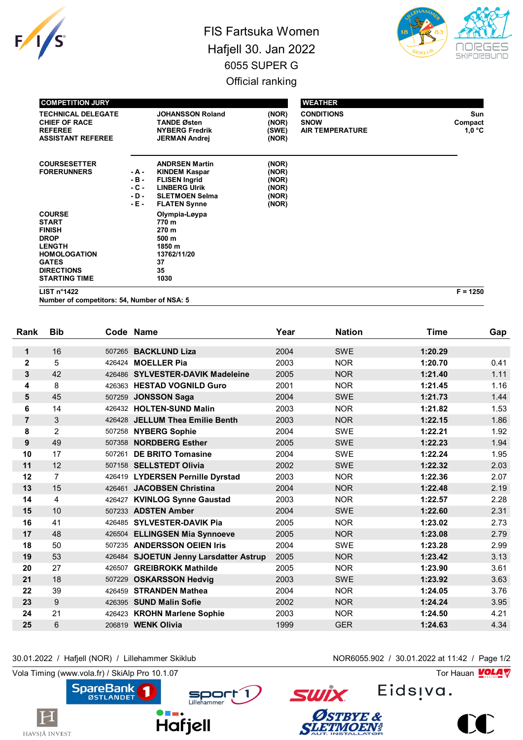

## FIS Fartsuka Women Hafjell 30. Jan 2022 6055 SUPER G Official ranking



| <b>COMPETITION JURY</b>                                                                                                                                            |                                                |                                                                                                                                               |                                                    | <b>WEATHER</b>                                             |                                 |
|--------------------------------------------------------------------------------------------------------------------------------------------------------------------|------------------------------------------------|-----------------------------------------------------------------------------------------------------------------------------------------------|----------------------------------------------------|------------------------------------------------------------|---------------------------------|
| <b>TECHNICAL DELEGATE</b><br><b>CHIEF OF RACE</b><br><b>REFEREE</b><br><b>ASSISTANT REFEREE</b>                                                                    |                                                | <b>JOHANSSON Roland</b><br><b>TANDE Østen</b><br><b>NYBERG Fredrik</b><br><b>JERMAN Andrej</b>                                                | (NOR)<br>(NOR)<br>(SWE)<br>(NOR)                   | <b>CONDITIONS</b><br><b>SNOW</b><br><b>AIR TEMPERATURE</b> | <b>Sun</b><br>Compact<br>1.0 °C |
| <b>COURSESETTER</b><br><b>FORERUNNERS</b>                                                                                                                          | - A -<br>$-B -$<br>$-C -$<br>$-D -$<br>- E - 1 | <b>ANDRSEN Martin</b><br><b>KINDEM Kaspar</b><br><b>FLISEN Ingrid</b><br><b>LINBERG Ulrik</b><br><b>SLETMOEN Selma</b><br><b>FLATEN Synne</b> | (NOR)<br>(NOR)<br>(NOR)<br>(NOR)<br>(NOR)<br>(NOR) |                                                            |                                 |
| <b>COURSE</b><br><b>START</b><br><b>FINISH</b><br><b>DROP</b><br><b>LENGTH</b><br><b>HOMOLOGATION</b><br><b>GATES</b><br><b>DIRECTIONS</b><br><b>STARTING TIME</b> |                                                | Olympia-Løypa<br>770 m<br>270 m<br>500 m<br>1850 m<br>13762/11/20<br>37<br>35<br>1030                                                         |                                                    |                                                            |                                 |

**LIST n°1422 F = 1250**

**Number of competitors: 54, Number of NSA: 5**

| Rank           | <b>Bib</b>     |        | Code Name                              | Year | <b>Nation</b> | <b>Time</b> | Gap  |
|----------------|----------------|--------|----------------------------------------|------|---------------|-------------|------|
| $\mathbf 1$    | 16             |        | 507265 BACKLUND Liza                   | 2004 | <b>SWE</b>    | 1:20.29     |      |
| $\mathbf 2$    | 5              |        | 426424 MOELLER Pia                     | 2003 | <b>NOR</b>    | 1:20.70     | 0.41 |
| 3              | 42             |        | 426486 SYLVESTER-DAVIK Madeleine       | 2005 | <b>NOR</b>    | 1:21.40     | 1.11 |
| 4              | 8              |        | 426363 HESTAD VOGNILD Guro             | 2001 | <b>NOR</b>    | 1:21.45     | 1.16 |
| 5              | 45             |        | 507259 JONSSON Saga                    | 2004 | <b>SWE</b>    | 1:21.73     | 1.44 |
| 6              | 14             |        | 426432 HOLTEN-SUND Malin               | 2003 | <b>NOR</b>    | 1:21.82     | 1.53 |
| $\overline{7}$ | 3              |        | 426428 JELLUM Thea Emilie Benth        | 2003 | <b>NOR</b>    | 1:22.15     | 1.86 |
| 8              | 2              |        | 507258 NYBERG Sophie                   | 2004 | <b>SWE</b>    | 1:22.21     | 1.92 |
| 9              | 49             |        | 507358 NORDBERG Esther                 | 2005 | <b>SWE</b>    | 1:22.23     | 1.94 |
| 10             | 17             | 507261 | <b>DE BRITO Tomasine</b>               | 2004 | <b>SWE</b>    | 1:22.24     | 1.95 |
| 11             | 12             |        | 507158 SELLSTEDT Olivia                | 2002 | <b>SWE</b>    | 1:22.32     | 2.03 |
| 12             | $\overline{7}$ |        |                                        | 2003 | <b>NOR</b>    | 1:22.36     | 2.07 |
|                |                |        | 426419 LYDERSEN Pernille Dyrstad       |      |               |             |      |
| 13             | 15             |        | 426461 JACOBSEN Christina              | 2004 | <b>NOR</b>    | 1:22.48     | 2.19 |
| 14             | 4              |        | 426427 KVINLOG Synne Gaustad           | 2003 | <b>NOR</b>    | 1:22.57     | 2.28 |
| 15             | 10             |        | 507233 ADSTEN Amber                    | 2004 | <b>SWE</b>    | 1:22.60     | 2.31 |
| 16             | 41             |        | 426485 SYLVESTER-DAVIK Pia             | 2005 | <b>NOR</b>    | 1:23.02     | 2.73 |
| 17             | 48             |        | 426504 ELLINGSEN Mia Synnoeve          | 2005 | <b>NOR</b>    | 1:23.08     | 2.79 |
| 18             | 50             |        | 507235 ANDERSSON OEIEN Iris            | 2004 | <b>SWE</b>    | 1:23.28     | 2.99 |
| 19             | 53             |        | 426484 SJOETUN Jenny Larsdatter Astrup | 2005 | <b>NOR</b>    | 1:23.42     | 3.13 |
| 20             | 27             |        | 426507 GREIBROKK Mathilde              | 2005 | <b>NOR</b>    | 1:23.90     | 3.61 |
| 21             | 18             | 507229 | <b>OSKARSSON Hedvig</b>                | 2003 | <b>SWE</b>    | 1:23.92     | 3.63 |
| 22             | 39             |        | 426459 STRANDEN Mathea                 | 2004 | <b>NOR</b>    | 1:24.05     | 3.76 |
| 23             | 9              |        | 426395 SUND Malin Sofie                | 2002 | <b>NOR</b>    | 1:24.24     | 3.95 |
| 24             | 21             |        | 426423 KROHN Marlene Sophie            | 2003 | <b>NOR</b>    | 1:24.50     | 4.21 |
| 25             | 6              |        | 206819 <b>WENK Olivia</b>              | 1999 | <b>GER</b>    | 1:24.63     | 4.34 |

30.01.2022 / Hafjell (NOR) / Lillehammer Skiklub NOR6055.902 / 30.01.2022 at 11:42 / Page 1/2

Vola Timing (www.vola.fr) / SkiAlp Pro 10.1.07  $\sqrt{2}$ 

 $\mathbf H$ 

HAVSJÅ INVEST



Eids<sub>!va.</sub>

**SWİX** 

Østbye &<br>Sletimoen!